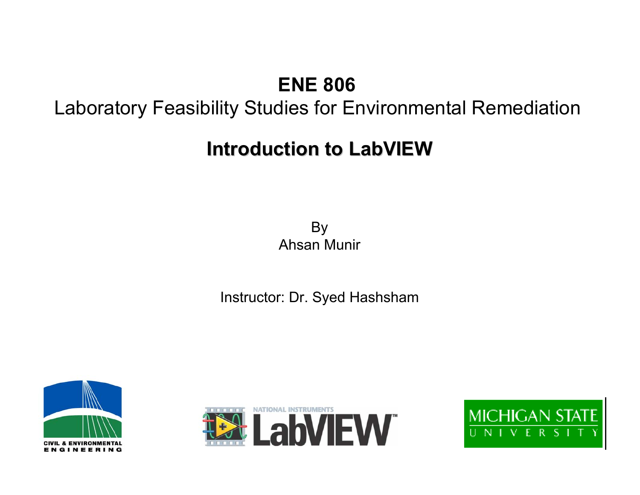### **ENE 806**

### Laboratory Feasibility Studies for Environmental Remediation

### **Introduction to LabVIEW Introduction to LabVIEW**

By Ahsan Munir

#### Instructor: Dr. Syed Hashsham





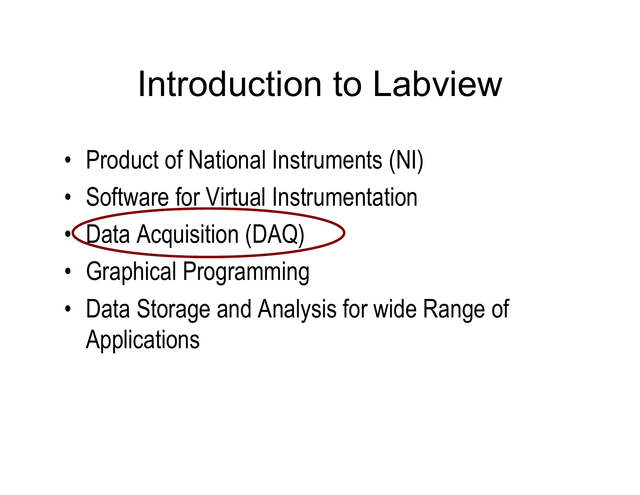## Introduction to Labview

- •• Product of National Instruments (NI)
- •• Software for Virtual Instrumentation
- •• *Data Acquisition (DAQ)*
- •Graphical Programming
- •• Data Storage and Analysis for wide Range of Applications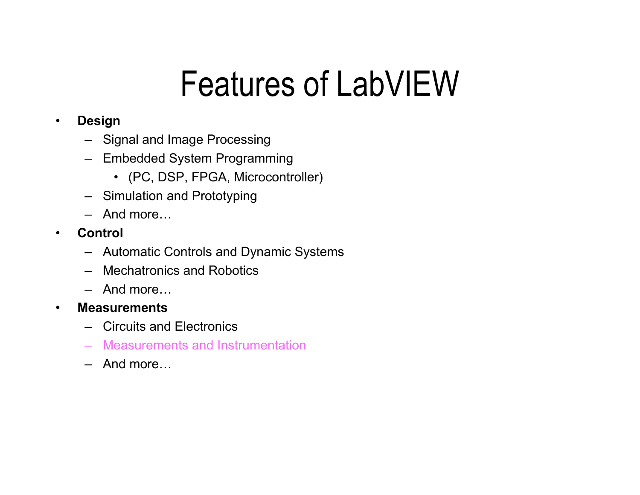## Features of LabVIEW

#### •**Design**

- Signal and Image Processing
- Embedded System Programming
	- (PC, DSP, FPGA, Microcontroller)
- Simulation and Prototyping
- –And more…
- • **Control**
	- Automatic Contr ols and Dynamic Systems
	- –Mechatronics and Robotics
	- –And more…
- • **Measurements**
	- –Circuits and Electronics
	- –Measurements and Instrumentation
	- –And more…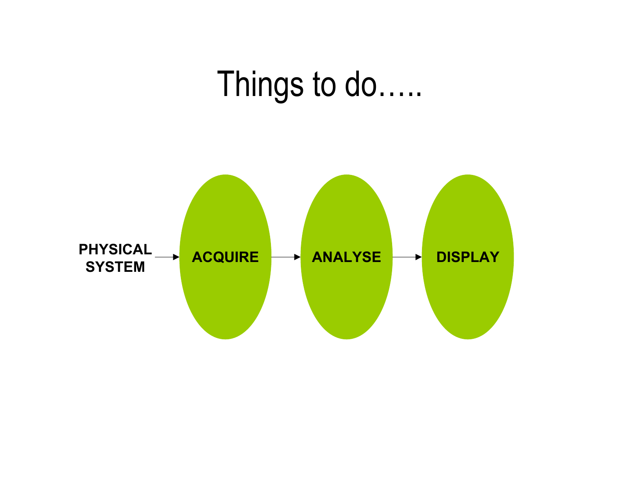### Things to do…..

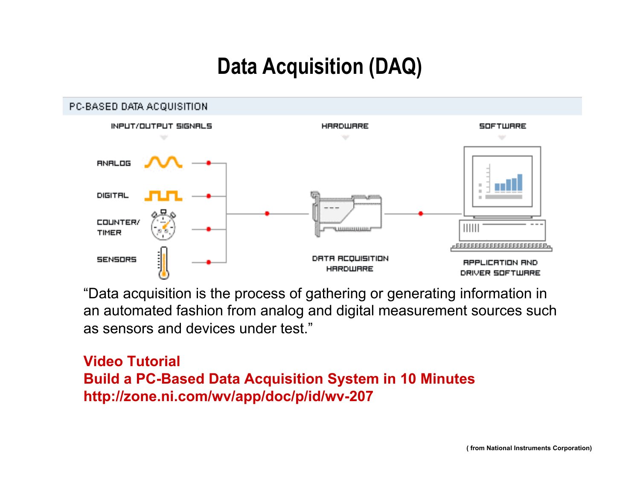### **Data Acquisition (DAQ)**



"Data acquisition is the process of gathering or generating information in an automated fashion from analog and digital measurement sources such as sensors and devices under test."

#### **Video TutorialBuild a PC-Based Data Acquisition System in 10 Minutes http://zone.ni.com/wv/app/doc/p/id/wv-207**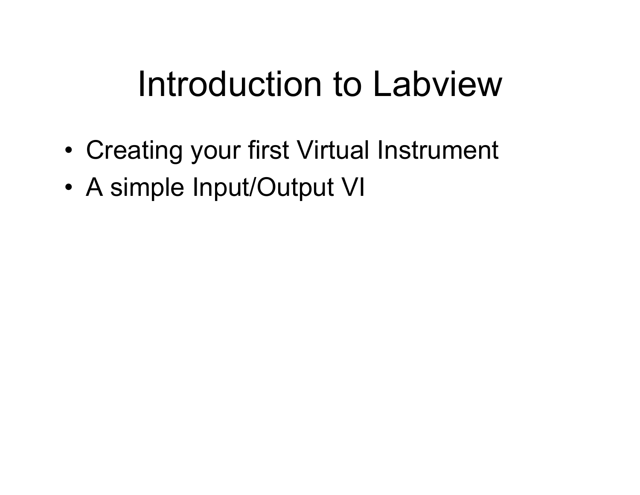## Introduction to Labview

- •Creating your first Virtual Instrument
- •A simple Input/Output VI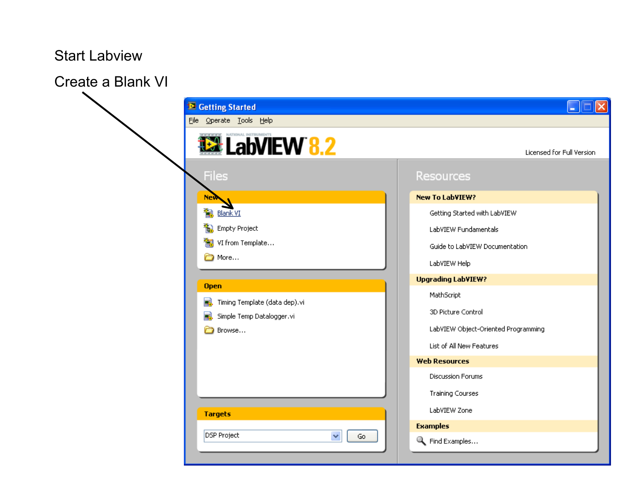#### Start Labview

Create a Blank VI

| Getting Started                                                        | l×<br>H.                            |  |
|------------------------------------------------------------------------|-------------------------------------|--|
| File Operate Tools Help                                                |                                     |  |
| <b>12 LabVIEW 8.2</b>                                                  | <b>Licensed for Full Version</b>    |  |
| <b>Files</b>                                                           | Resources                           |  |
| <b>New</b>                                                             | <b>New To LabVIEW?</b>              |  |
| <b>Blank VI</b>                                                        | Getting Started with LabVIEW        |  |
| ia Empty Project                                                       | LabVIEW Fundamentals                |  |
| in VI from Template                                                    | Guide to LabVIEW Documentation      |  |
| more                                                                   | LabVIEW Help                        |  |
|                                                                        | <b>Upgrading LabVIEW?</b>           |  |
| <b>Open</b>                                                            | MathScript                          |  |
| Timing Template (data dep).vi<br>E.<br>Simple Temp Datalogger.vi<br>æ. | 3D Picture Control                  |  |
| Browse                                                                 | LabVIEW Object-Oriented Programming |  |
|                                                                        | List of All New Features            |  |
|                                                                        | <b>Web Resources</b>                |  |
|                                                                        | <b>Discussion Forums</b>            |  |
|                                                                        | <b>Training Courses</b>             |  |
| <b>Targets</b>                                                         | LabVIEW Zone                        |  |
|                                                                        | <b>Examples</b>                     |  |
| <b>DSP Project</b><br>$\checkmark$<br>Go                               | Find Examples                       |  |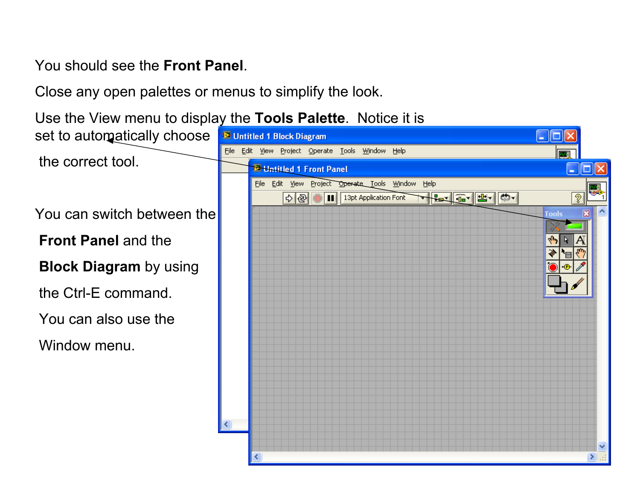- You should see the **Front Panel**.
- Close any open palettes or menus to simplify the look.
- Use the View menu to display the **Tools Palette**. Notice it is set to automatically choose **E** Untitled 1 Block Diagram I - 101 Edit View Project Operate Tools Window Help File the correct tool.**E-Hatitled 1 Front Panel** File Edit View Project Operate Tools Window Help 13pt Application Font **THE GILE ISL**  $\overline{2}$  $\Rightarrow$ You can switch between theTools **Front Panel** and the**Block Diagram** by using the Ctrl-E command. You can also use theWindow menu ≺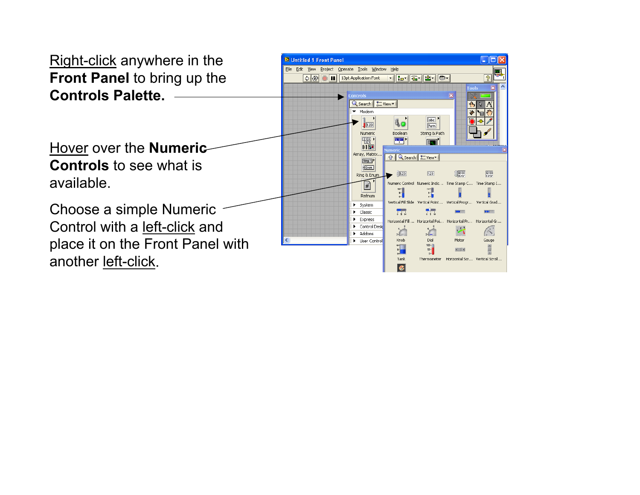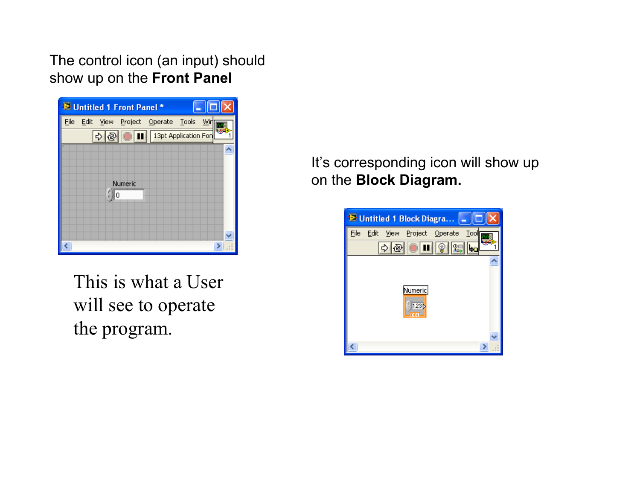The control icon (an input) should show up on the **Front Panel** 



This is what a User will see to operate the program.

It's corresponding icon will show up on the **Block Diagram.**

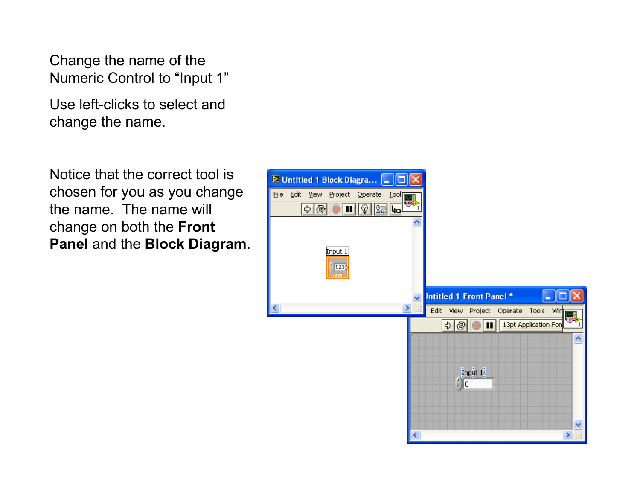Change the name of the Numeric Control to "Input 1"

Use left-clicks to select and change the name.

Notice that the correct tool is chosen for you as you change the name. The name will change on both the **Front Panel** and the **Block Diagram**.

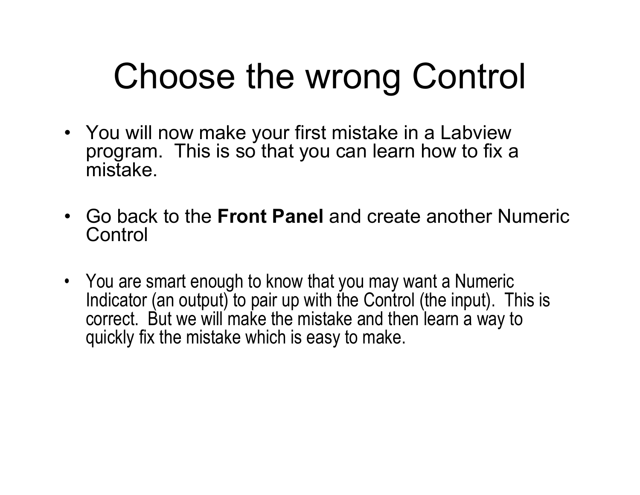## Choose the wrong Control

- You will now make your first mistake in a Labview program. This is so that you can learn how to fix a mistake.
- •Go back to the **Front Panel** and create another Numeric **Control**
- You are smart enough to know that you may want a Numeric Indicator (an output) to pair up with the Control (the input). This is correct. But we will make the mistake and then learn a way to quickly fix the mistake which is easy to make.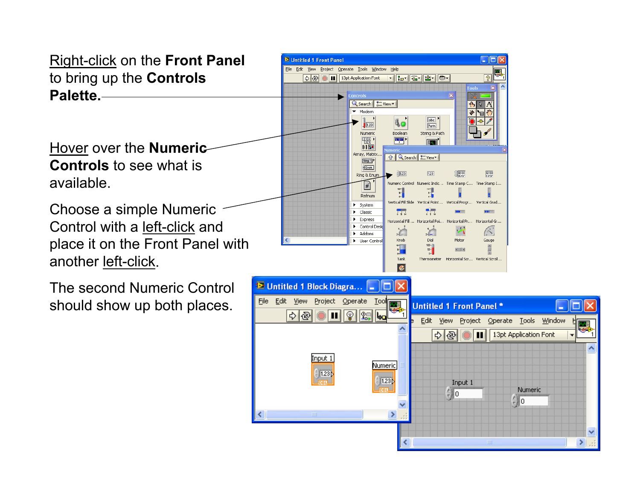Right-click on the **Front Panel** to bring up the **Controls Palette.**

Hover over the **Numeric Controls** to see what is available.

Choose a simple Numeric Control with a left-click and place it on the Front Panel with another left-click.

The second Numeric Control should show up both places.

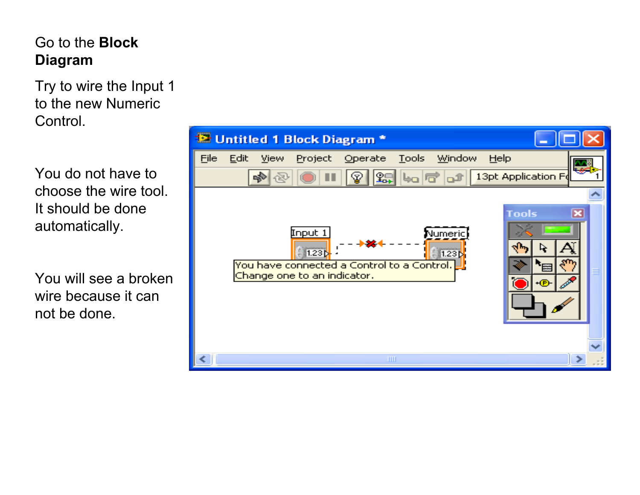### Go to the **Block Diagram**

Try to wire the Input 1 to the new Numeric Control.

You do not have to choose the wire tool. It should be done automatically.

You will see a broken wire because it can not be done.

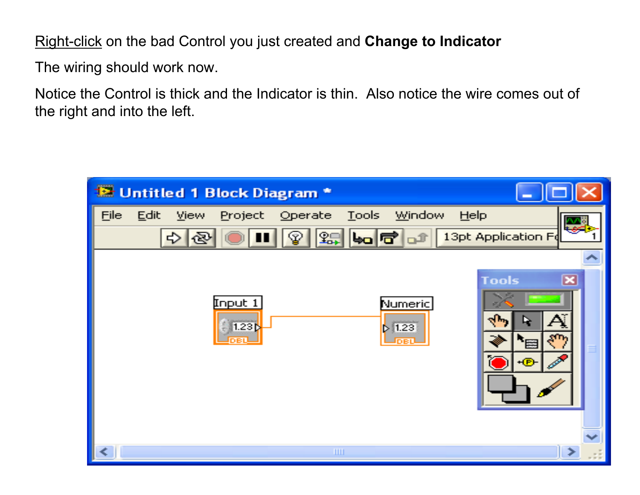Right-click on the bad Control you just created and **Change to Indicator**

The wiring should work now.

Notice the Control is thick and the Indicator is thin. Also notice the wire comes out of the right and into the left.

| Untitled 1 Block Diagram *                                                                                                                                                 |                         |
|----------------------------------------------------------------------------------------------------------------------------------------------------------------------------|-------------------------|
| Edit<br><b>Tools</b><br><b>Window</b><br>File<br>Operate<br>HeIp<br>View<br>Project<br>$27$ to $7$ of<br>13pt Application Fd<br>图<br>m<br>$ \mathcal{P} $<br>$\Rightarrow$ |                         |
| <b>Tools</b><br>Input 1<br>Numeric<br>ra r<br>1.23 <sub>b</sub><br> 1.23 <br>$\mathbf{r}$<br>DBL<br>H(E)                                                                   | $\overline{\mathbf{x}}$ |
| $\leq$<br><b>TITL</b>                                                                                                                                                      | >                       |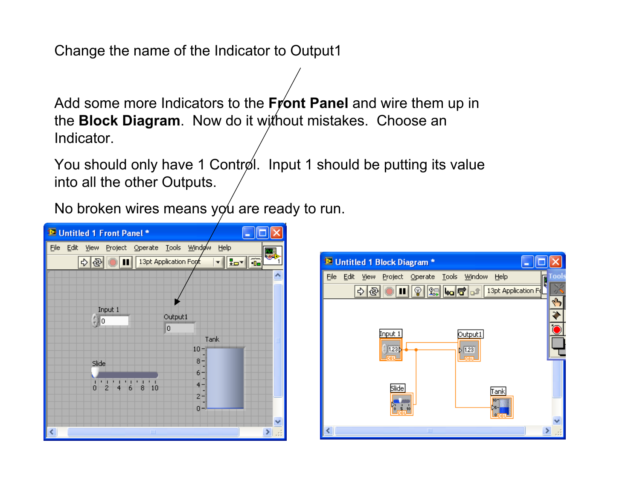Change the name of the Indicator to Output1

Add some more Indicators to the **Front Panel** and wire them up in the **Block Diagram**. Now do it without mistakes. Choose an Indicator.

You should only have 1 Control. Input 1 should be putting its value into all the other Outputs.

No broken wires means  $y\phi u$  are ready to run.



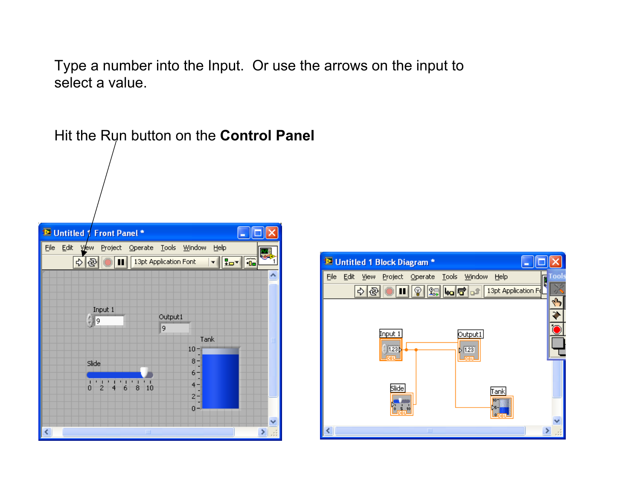Type a number into the Input. Or use the arrows on the input to select a value.



Hit the Run button on the **Control Panel**

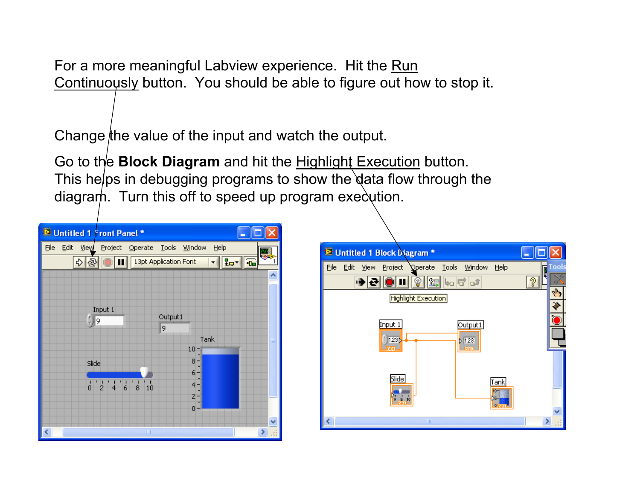For a more meaningful Labview experience. Hit the Run Continuously button. You should be able to figure out how to stop it.

Change the value of the input and watch the output.

Go to the **Block Diagram** and hit the Highlight Execution button. This helps in debugging programs to show the data flow through the diagram. Turn this off to speed up program execution.



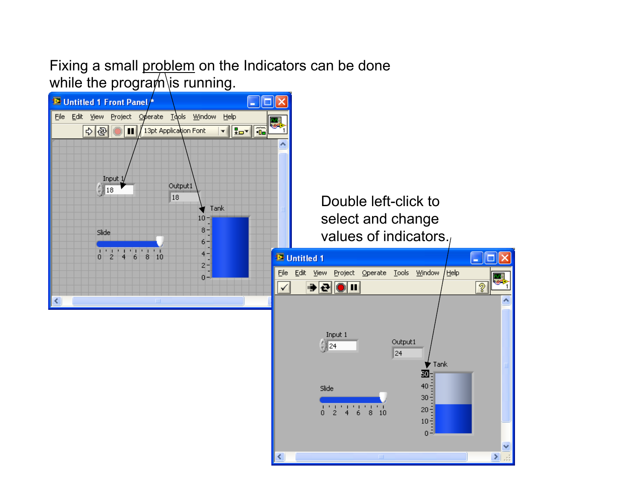Fixing a small problem on the Indicators can be done while the program is running.



≺



جامها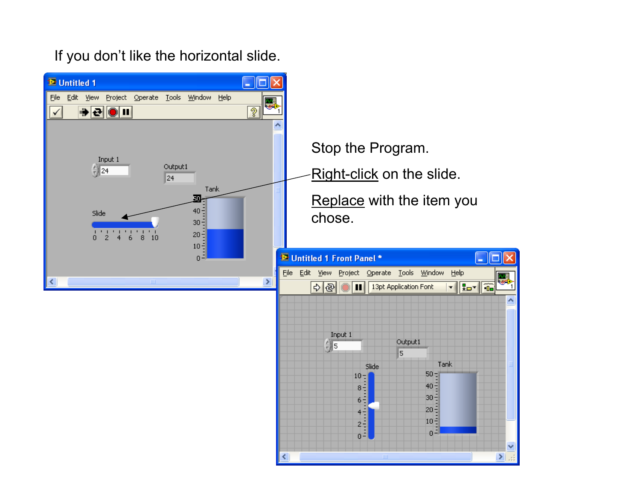If you don't like the horizontal slide.



 $0^{\frac{3}{2}}$ v  $\sum_{i=1}^{n}$ ≺

뗹

ᄾ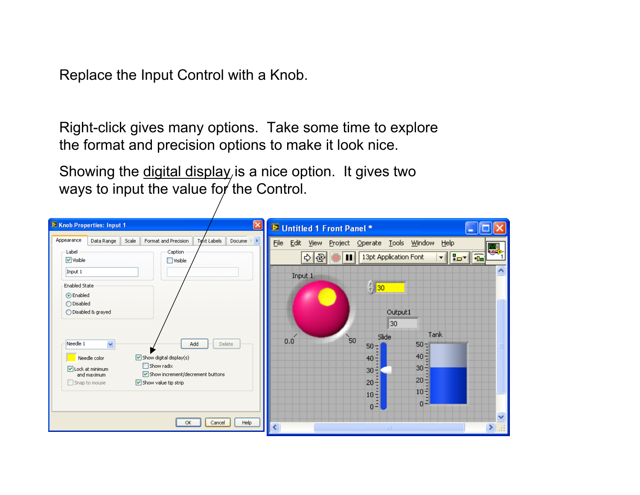Replace the Input Control with a Knob.

Right-click gives many options. Take some time to explore the format and precision options to make it look nice.

Showing the digital display is a nice option. It gives two ways to input the value for the Control.

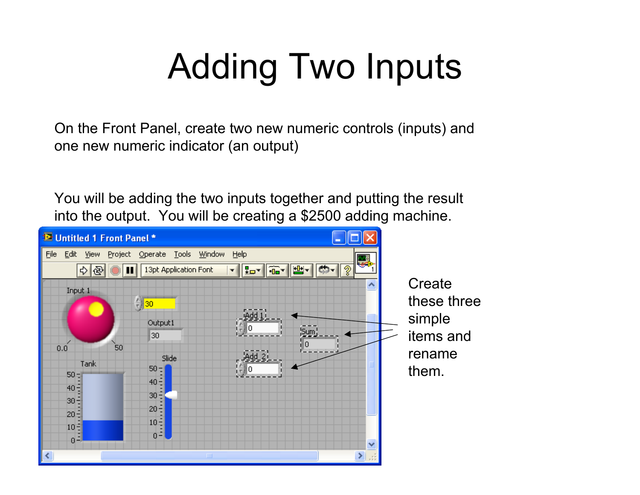# Adding Two Inputs

On the Front Panel, create two new numeric controls (inputs) and one new numeric indicator (an output)

You will be adding the two inputs together and putting the result into the output. You will be creating a \$2500 adding machine.

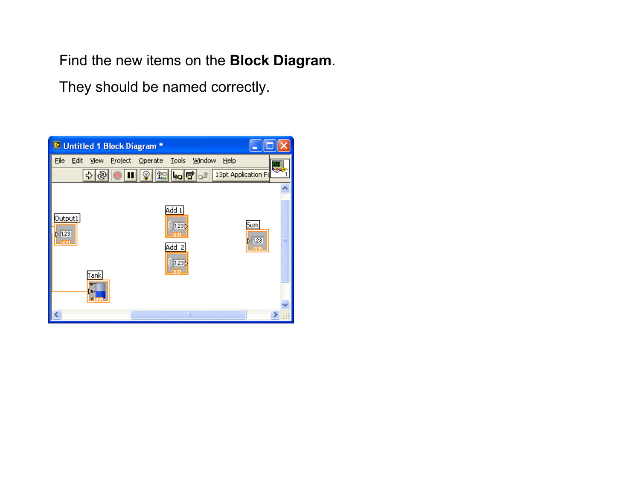Find the new items on the **Block Diagram**.

They should be named correctly.

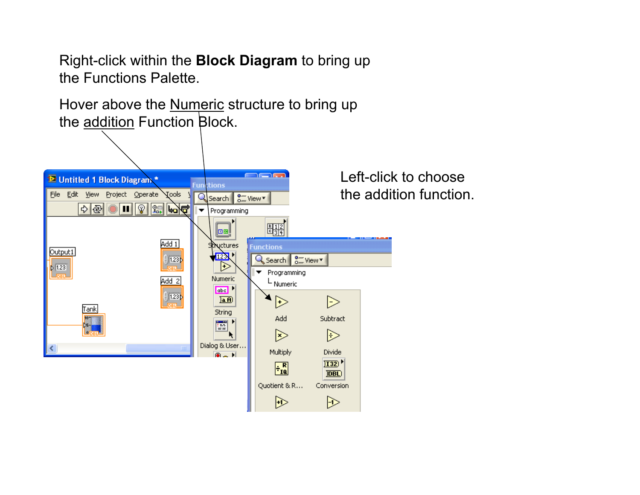Right-click within the **Block Diagram** to bring up the Functions Palette.

Hover above the <u>Numeric</u> structure to bring up the addition Function Block.



Left-click to choose the addition function.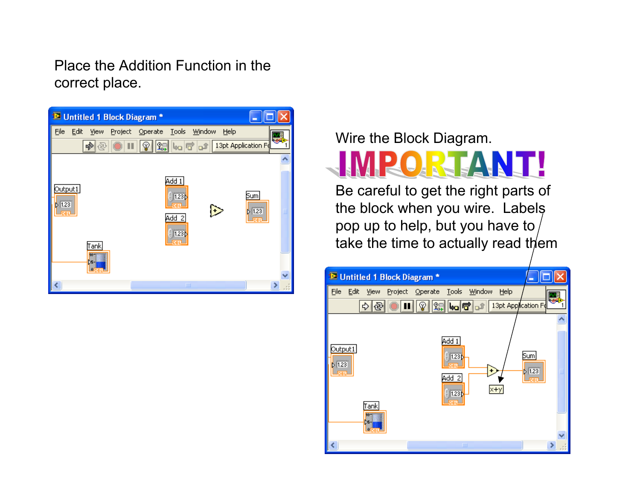Place the Addition Function in the correct place.



Wire the Block Diagram.



Be careful to get the right parts of the block when you wire. Labels pop up to help, but you have to take the time to actually read them

| <sup>12</sup> Untitled 1 Block Diagram *                                           |                                                                                    |                                             |
|------------------------------------------------------------------------------------|------------------------------------------------------------------------------------|---------------------------------------------|
| Eile<br>Edit<br>View<br>ম্ভ<br>Ф                                                   | Project Operate Tools<br>Window<br>Help<br>   13pt Application Fo<br>ୢଡ଼           |                                             |
| Output1<br>5 1.23<br><b>JDBU-</b><br><b>Tank</b><br>$10 - 1$<br>≿∋<br><b>Alpet</b> | Add 1<br>1.23 <sub>b</sub><br>÷.<br>Add<br>-2<br>$x+y$<br>1.23 <sub>b</sub><br>DBL | Sum<br>$\triangleright$ 1.23<br><b>JOBL</b> |
|                                                                                    | ШI                                                                                 | ⋟                                           |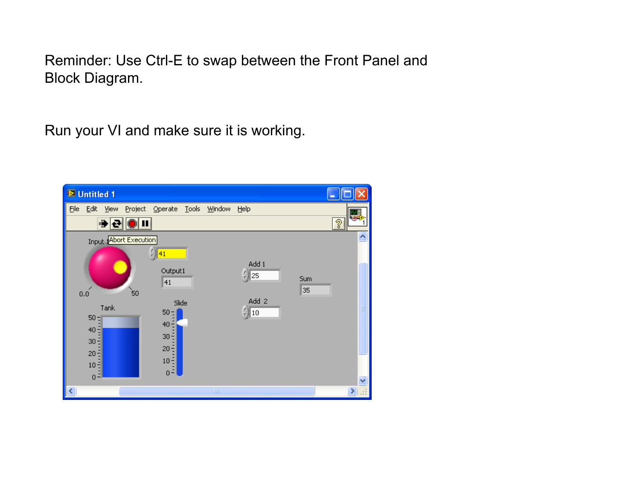Reminder: Use Ctrl-E to swap between the Front Panel and Block Diagram.

Run your VI and make sure it is working.

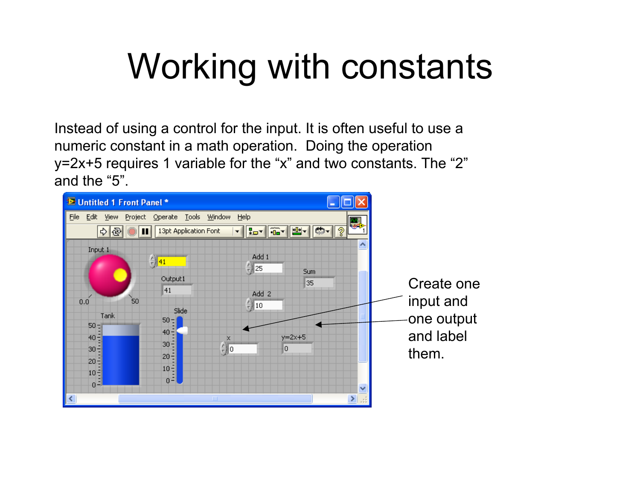## Working with constants

Instead of using a control for the input. It is often useful to use a numeric constant in a math operation. Doing the operation y=2x+5 requires 1 variable for the "x" and two constants. The "2" and the "5".

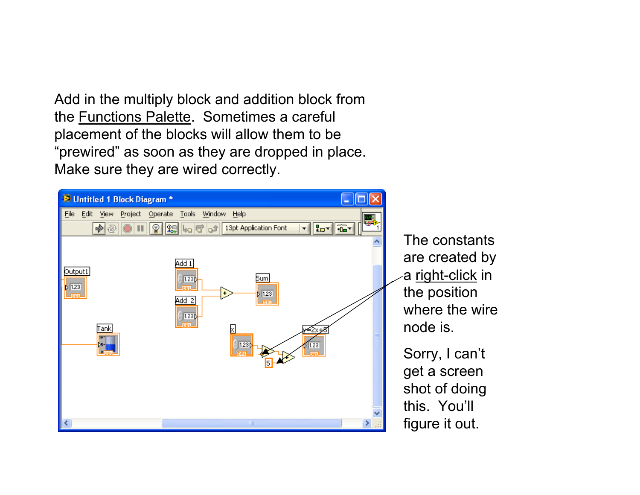Add in the multiply block and addition block from the Functions Palette. Sometimes a careful placement of the blocks will allow them to be "prewired" as soon as they are dropped in place. Make sure they are wired correctly.



The constants are created by ∕a <u>right-click</u> in the position where the wire

Sorry, I can't get a screen shot of doing figure it out.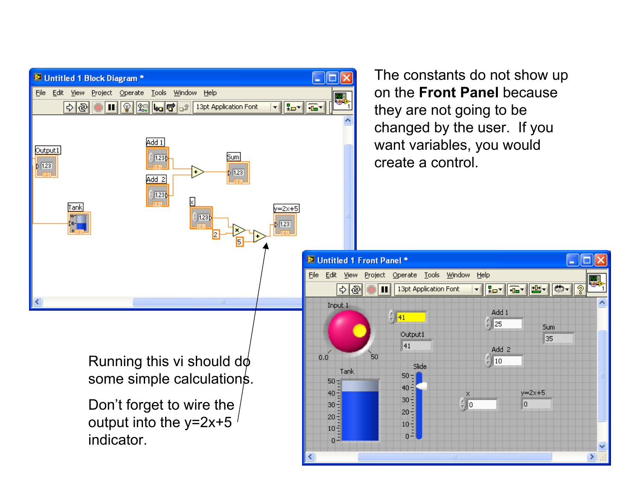The constants do not show up  $\Box$ ok **E** Untitled 1 Block Diagram \* on the **Front Panel** because File Edit View Project Operate Tools Window Help ख्ये  $\frac{1}{2}$  $||||| \otimes$ || Sel | bo | 行 | of | 13pt Application Font  $\frac{1}{\sqrt{2}}$ they are not going to be changed by the user. If you Add 1 want variables, you would Output1 Sum  $1.23<sub>b</sub>$ create a control. $\triangleright$  1.23  $51.23$ Loso Add 2  $|123|$ iank =2x+5 1.23  $1.23$ **E** Untitled 1 Front Panel \* - 10 File Edit View Project Operate Tools Window Help فأسين ∣୭  $\Rightarrow$ 13pt Application Font ▐▛▚▊▒▚▏▓▚▏▏▓▖ ጘ п  $\overline{\mathbf{r}}$ К ۸ Input 1 Add 1  $\frac{E}{T}$  41  $\frac{7}{7}$  25 Sum Output1 35 41  $Add<sub>2</sub>$  $0.0$ 50 Running this vi should  $d\phi$  $\frac{7}{3}$  10 Slide. Tank some simple calculations.  $50 50 40$  $y=2x+5$  $40:$  $30 \frac{2}{3}$  0 Don't forget to wire the lo.  $30 20$ output into the y=2x+5  $20 10 10 |0-1|$ indicator.3ع  $\checkmark$ ≯|⊞